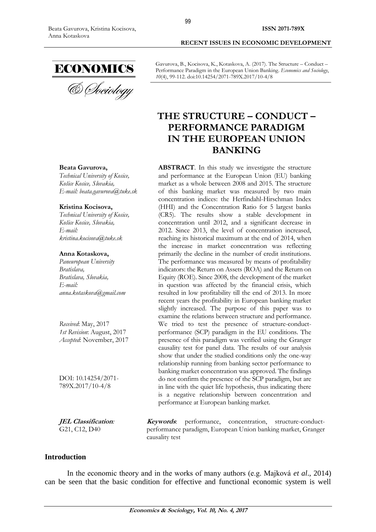**Beata Gavurova,**

**Kristina Kocisova,** *Technical University of Kosice, Košice [Kosice, Slovakia,](https://en.wikipedia.org/wiki/Podgorica)*

*[kristina.kocisova@tuke.sk](mailto:kristina.kocisova@tuke.sk)*

**Anna Kotaskova,** *Paneuropean University* 

*[Bratislava, Slovakia,](https://en.wikipedia.org/wiki/Podgorica)*

*Received*: May, 2017 *1st Revision*: August, 2017 *Accepted*: November, 2017

DOI: 10.14254/2071- 789X.2017/10-4/8

**JEL Classification***:* G21, C12, D40

*[anna.kotaskova@gmail.com](mailto:anna.kotaskova@gmail.com)*

*E-mail:*

*Bratislava,*

*E-mail:*

*Technical University of Kosice, Košice [Kosice, Slovakia,](https://en.wikipedia.org/wiki/Podgorica)*

*E-mail: [beata.gavurova@tuke.sk](mailto:beata.gavurova@tuke.sk)*

ECONOMICS<br>& *Cheiology* 

Gavurova, B., Kocisova, K., Kotaskova, A. (2017). The Structure – Conduct – Performance Paradigm in the European Union Banking. *Economics and Sociology*, *10*(4), 99-112. doi:10.14254/2071-789X.2017/10-4/8

**RECENT ISSUES IN ECONOMIC DEVELOPMENT**

# **THE STRUCTURE – CONDUCT – PERFORMANCE PARADIGM IN THE EUROPEAN UNION BANKING**

**ABSTRACT**. In this study we investigate the structure and performance at the European Union (EU) banking market as a whole between 2008 and 2015. The structure of this banking market was measured by two main concentration indices: the Herfindahl-Hirschman Index (HHI) and the Concentration Ratio for 5 largest banks (CR5). The results show a stable development in concentration until 2012, and a significant decrease in 2012. Since 2013, the level of concentration increased, reaching its historical maximum at the end of 2014, when the increase in market concentration was reflecting primarily the decline in the number of credit institutions. The performance was measured by means of profitability indicators: the Return on Assets (ROA) and the Return on Equity (ROE). Since 2008, the development of the market in question was affected by the financial crisis, which resulted in low profitability till the end of 2013. In more recent years the profitability in European banking market slightly increased. The purpose of this paper was to examine the relations between structure and performance. We tried to test the presence of structure-conductperformance (SCP) paradigm in the EU conditions. The presence of this paradigm was verified using the Granger causality test for panel data. The results of our analysis show that under the studied conditions only the one-way relationship running from banking sector performance to banking market concentration was approved. The findings do not confirm the presence of the SCP paradigm, but are in line with the quiet life hypothesis, thus indicating there is a negative relationship between concentration and performance at European banking market.

**Keywords**: performance, concentration, structure-conductperformance paradigm, European Union banking market, Granger causality test

# **Introduction**

In the economic theory and in the works of many authors (e.g. Majková *et al*., 2014) can be seen that the basic condition for effective and functional economic system is well

99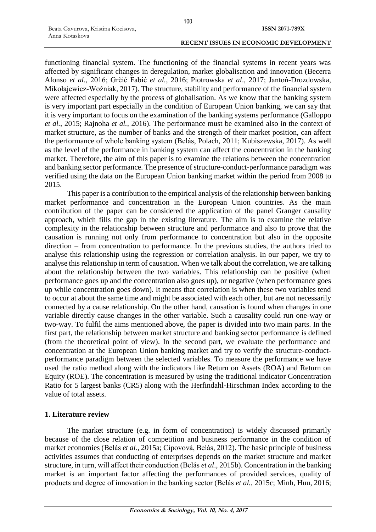functioning financial system. The functioning of the financial systems in recent years was affected by significant changes in deregulation, market globalisation and innovation (Becerra Alonso *et al*., 2016; Grčić Fabić *et al.*, 2016; Piotrowska *et al*., 2017; Jantoń-Drozdowska, Mikołajewicz-Woźniak, 2017). The structure, stability and performance of the financial system were affected especially by the process of globalisation. As we know that the banking system is very important part especially in the condition of European Union banking, we can say that it is very important to focus on the examination of the banking systems performance (Galloppo *et al.*, 2015; Rajnoha *et al.*, 2016). The performance must be examined also in the context of market structure, as the number of banks and the strength of their market position, can affect the performance of whole banking system (Belás, Polach, 2011; Kubiszewska, 2017). As well as the level of the performance in banking system can affect the concentration in the banking market. Therefore, the aim of this paper is to examine the relations between the concentration and banking sector performance. The presence of structure-conduct-performance paradigm was verified using the data on the European Union banking market within the period from 2008 to 2015.

This paper is a contribution to the empirical analysis of the relationship between banking market performance and concentration in the European Union countries. As the main contribution of the paper can be considered the application of the panel Granger causality approach, which fills the gap in the existing literature. The aim is to examine the relative complexity in the relationship between structure and performance and also to prove that the causation is running not only from performance to concentration but also in the opposite direction – from concentration to performance. In the previous studies, the authors tried to analyse this relationship using the regression or correlation analysis. In our paper, we try to analyse this relationship in term of causation. When we talk about the correlation, we are talking about the relationship between the two variables. This relationship can be positive (when performance goes up and the concentration also goes up), or negative (when performance goes up while concentration goes down). It means that correlation is when these two variables tend to occur at about the same time and might be associated with each other, but are not necessarily connected by a cause relationship. On the other hand, causation is found when changes in one variable directly cause changes in the other variable. Such a causality could run one-way or two-way. To fulfil the aims mentioned above, the paper is divided into two main parts. In the first part, the relationship between market structure and banking sector performance is defined (from the theoretical point of view). In the second part, we evaluate the performance and concentration at the European Union banking market and try to verify the structure-conductperformance paradigm between the selected variables. To measure the performance we have used the ratio method along with the indicators like Return on Assets (ROA) and Return on Equity (ROE). The concentration is measured by using the traditional indicator Concentration Ratio for 5 largest banks (CR5) along with the Herfindahl-Hirschman Index according to the value of total assets.

# **1. Literature review**

The market structure (e.g. in form of concentration) is widely discussed primarily because of the close relation of competition and business performance in the condition of market economies (Belás *et al.*, 2015a; Cipovová, Belás, 2012). The basic principle of business activities assumes that conducting of enterprises depends on the market structure and market structure, in turn, will affect their conduction (Belás *et al*., 2015b). Concentration in the banking market is an important factor affecting the performances of provided services, quality of products and degree of innovation in the banking sector (Belás *et al.*, 2015c; Minh, Huu, 2016;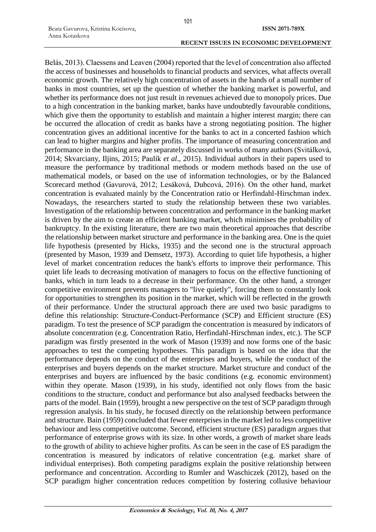Belás, 2013). Claessens and Leaven (2004) reported that the level of concentration also affected the access of businesses and households to financial products and services, what affects overall economic growth. The relatively high concentration of assets in the hands of a small number of banks in most countries, set up the question of whether the banking market is powerful, and whether its performance does not just result in revenues achieved due to monopoly prices. Due to a high concentration in the banking market, banks have undoubtedly favourable conditions, which give them the opportunity to establish and maintain a higher interest margin; there can be occurred the allocation of credit as banks have a strong negotiating position. The higher concentration gives an additional incentive for the banks to act in a concerted fashion which can lead to higher margins and higher profits. The importance of measuring concentration and performance in the banking area are separately discussed in works of many authors (Svitálková, 2014; Skvarciany, Iljins, 2015; Paulík *et al*., 2015). Individual authors in their papers used to measure the performance by traditional methods or modern methods based on the use of mathematical models, or based on the use of information technologies, or by the Balanced Scorecard method (Gavurová, 2012; Lesáková, Dubcová, 2016). On the other hand, market concentration is evaluated mainly by the Concentration ratio or Herfindahl-Hirschman index. Nowadays, the researchers started to study the relationship between these two variables. Investigation of the relationship between concentration and performance in the banking market is driven by the aim to create an efficient banking market, which minimises the probability of bankruptcy. In the existing literature, there are two main theoretical approaches that describe the relationship between market structure and performance in the banking area. One is the quiet life hypothesis (presented by Hicks, 1935) and the second one is the structural approach (presented by Mason, 1939 and Demsetz, 1973). According to quiet life hypothesis, a higher level of market concentration reduces the bank's efforts to improve their performance. This quiet life leads to decreasing motivation of managers to focus on the effective functioning of banks, which in turn leads to a decrease in their performance. On the other hand, a stronger competitive environment prevents managers to "live quietly", forcing them to constantly look for opportunities to strengthen its position in the market, which will be reflected in the growth of their performance. Under the structural approach there are used two basic paradigms to define this relationship: Structure-Conduct-Performance (SCP) and Efficient structure (ES) paradigm. To test the presence of SCP paradigm the concentration is measured by indicators of absolute concentration (e.g. Concentration Ratio, Herfindahl-Hirschman index, etc.). The SCP paradigm was firstly presented in the work of Mason (1939) and now forms one of the basic approaches to test the competing hypotheses. This paradigm is based on the idea that the performance depends on the conduct of the enterprises and buyers, while the conduct of the enterprises and buyers depends on the market structure. Market structure and conduct of the enterprises and buyers are influenced by the basic conditions (e.g. economic environment) within they operate. Mason (1939), in his study, identified not only flows from the basic conditions to the structure, conduct and performance but also analysed feedbacks between the parts of the model. Bain (1959), brought a new perspective on the test of SCP paradigm through regression analysis. In his study, he focused directly on the relationship between performance and structure. Bain (1959) concluded that fewer enterprises in the market led to less competitive behaviour and less competitive outcome. Second, efficient structure (ES) paradigm argues that performance of enterprise grows with its size. In other words, a growth of market share leads to the growth of ability to achieve higher profits. As can be seen in the case of ES paradigm the concentration is measured by indicators of relative concentration (e.g. market share of individual enterprises). Both competing paradigms explain the positive relationship between performance and concentration. According to Rumler and Waschiczek (2012), based on the SCP paradigm higher concentration reduces competition by fostering collusive behaviour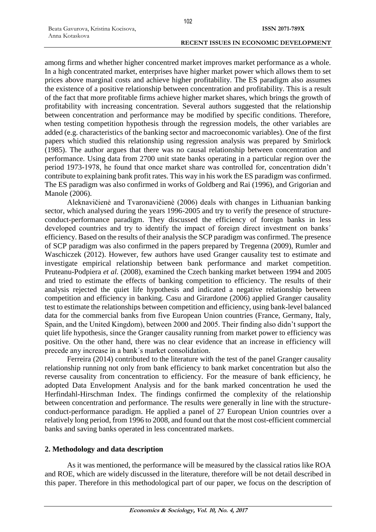among firms and whether higher concentred market improves market performance as a whole. In a high concentrated market, enterprises have higher market power which allows them to set prices above marginal costs and achieve higher profitability. The ES paradigm also assumes the existence of a positive relationship between concentration and profitability. This is a result of the fact that more profitable firms achieve higher market shares, which brings the growth of profitability with increasing concentration. Several authors suggested that the relationship between concentration and performance may be modified by specific conditions. Therefore, when testing competition hypothesis through the regression models, the other variables are added (e.g. characteristics of the banking sector and macroeconomic variables). One of the first papers which studied this relationship using regression analysis was prepared by Smirlock (1985). The author argues that there was no causal relationship between concentration and performance. Using data from 2700 unit state banks operating in a particular region over the period 1973-1978, he found that once market share was controlled for, concentration didn't contribute to explaining bank profit rates. This way in his work the ES paradigm was confirmed. The ES paradigm was also confirmed in works of Goldberg and Rai (1996), and Grigorian and Manole (2006).

Aleknavičienė and Tvaronavičienė (2006) deals with changes in Lithuanian banking sector, which analysed during the years 1996-2005 and try to verify the presence of structureconduct-performance paradigm. They discussed the efficiency of foreign banks in less developed countries and try to identify the impact of foreign direct investment on banks' efficiency. Based on the results of their analysis the SCP paradigm was confirmed. The presence of SCP paradigm was also confirmed in the papers prepared by Tregenna (2009), Rumler and Waschiczek (2012). However, few authors have used Granger causality test to estimate and investigate empirical relationship between bank performance and market competition. Pruteanu-Podpiera *et al.* (2008), examined the Czech banking market between 1994 and 2005 and tried to estimate the effects of banking competition to efficiency. The results of their analysis rejected the quiet life hypothesis and indicated a negative relationship between competition and efficiency in banking. Casu and Girardone (2006) applied Granger causality test to estimate the relationships between competition and efficiency, using bank-level balanced data for the commercial banks from five European Union countries (France, Germany, Italy, Spain, and the United Kingdom), between 2000 and 2005. Their finding also didn't support the quiet life hypothesis, since the Granger causality running from market power to efficiency was positive. On the other hand, there was no clear evidence that an increase in efficiency will precede any increase in a bank´s market consolidation.

Ferreira (2014) contributed to the literature with the test of the panel Granger causality relationship running not only from bank efficiency to bank market concentration but also the reverse causality from concentration to efficiency. For the measure of bank efficiency, he adopted Data Envelopment Analysis and for the bank marked concentration he used the Herfindahl-Hirschman Index. The findings confirmed the complexity of the relationship between concentration and performance. The results were generally in line with the structureconduct-performance paradigm. He applied a panel of 27 European Union countries over a relatively long period, from 1996 to 2008, and found out that the most cost-efficient commercial banks and saving banks operated in less concentrated markets.

# **2. Methodology and data description**

As it was mentioned, the performance will be measured by the classical ratios like ROA and ROE, which are widely discussed in the literature, therefore will be not detail described in this paper. Therefore in this methodological part of our paper, we focus on the description of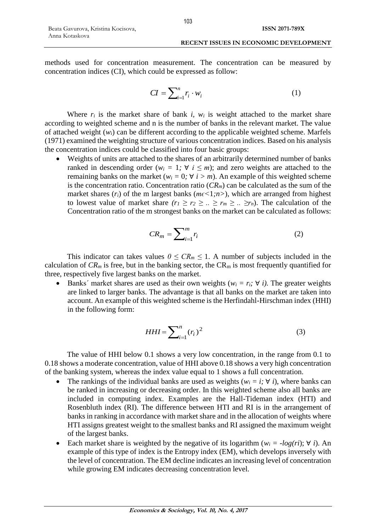methods used for concentration measurement. The concentration can be measured by concentration indices (CI), which could be expressed as follow:

$$
CI = \sum_{i=1}^{n} r_i \cdot w_i \tag{1}
$$

Where  $r_i$  is the market share of bank *i, w<sub>i</sub>* is weight attached to the market share according to weighted scheme and n is the number of banks in the relevant market. The value of attached weight (*w*i) can be different according to the applicable weighted scheme. Marfels (1971) examined the weighting structure of various concentration indices. Based on his analysis the concentration indices could be classified into four basic groups:

 Weights of units are attached to the shares of an arbitrarily determined number of banks ranked in descending order ( $w_i = 1$ ;  $\forall i \leq m$ ); and zero weights are attached to the remaining banks on the market ( $w_i = 0$ ;  $\forall i > m$ ). An example of this weighted scheme is the concentration ratio. Concentration ratio  $(CR_m)$  can be calculated as the sum of the market shares  $(r_i)$  of the m largest banks ( $mc \leq 1; n>$ ), which are arranged from highest to lowest value of market share  $(r_1 \ge r_2 \ge ... \ge r_m \ge ... \ge r_n)$ . The calculation of the Concentration ratio of the m strongest banks on the market can be calculated as follows:

$$
CR_m = \sum_{i=1}^{m} r_i
$$
 (2)

This indicator can takes values  $0 \leq CR_m \leq 1$ . A number of subjects included in the calculation of  $CR_m$  is free, but in the banking sector, the  $CR_m$  is most frequently quantified for three, respectively five largest banks on the market.

Banks' market shares are used as their own weights ( $w_i = r_i$ ;  $\forall i$ ). The greater weights are linked to larger banks. The advantage is that all banks on the market are taken into account. An example of this weighted scheme is the Herfindahl-Hirschman index (HHI) in the following form:

$$
HHI = \sum_{i=1}^{n} (r_i)^2
$$
\n<sup>(3)</sup>

The value of HHI below 0.1 shows a very low concentration, in the range from 0.1 to 0.18 shows a moderate concentration, value of HHI above 0.18 shows a very high concentration of the banking system, whereas the index value equal to 1 shows a full concentration.

- The rankings of the individual banks are used as weights ( $w_i = i$ ;  $\forall i$ ), where banks can be ranked in increasing or decreasing order. In this weighted scheme also all banks are included in computing index. Examples are the Hall-Tideman index (HTI) and Rosenbluth index (RI). The difference between HTI and RI is in the arrangement of banks in ranking in accordance with market share and in the allocation of weights where HTI assigns greatest weight to the smallest banks and RI assigned the maximum weight of the largest banks.
- Each market share is weighted by the negative of its logarithm ( $w_i = -log(ri)$ ;  $\forall$  *i*). An example of this type of index is the Entropy index (EM), which develops inversely with the level of concentration. The EM decline indicates an increasing level of concentration while growing EM indicates decreasing concentration level.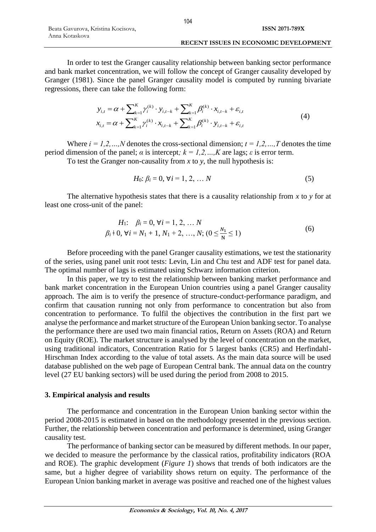In order to test the Granger causality relationship between banking sector performance and bank market concentration, we will follow the concept of Granger causality developed by Granger (1981). Since the panel Granger causality model is computed by running bivariate regressions, there can take the following form:

$$
y_{i,t} = \alpha + \sum_{k=1}^{K} \gamma_i^{(k)} \cdot y_{i,t-k} + \sum_{k=1}^{K} \beta_i^{(k)} \cdot x_{i,t-k} + \varepsilon_{i,t}
$$
  

$$
x_{i,t} = \alpha + \sum_{k=1}^{K} \gamma_i^{(k)} \cdot x_{i,t-k} + \sum_{k=1}^{K} \beta_i^{(k)} \cdot y_{i,t-k} + \varepsilon_{i,t}
$$
 (4)

Where  $i = 1, 2, ..., N$  denotes the cross-sectional dimension;  $t = 1, 2, ..., T$  denotes the time period dimension of the panel;  $\alpha$  is intercept;  $k = 1, 2, ..., K$  are lags;  $\varepsilon$  is error term.

To test the Granger non-causality from *x* to *y*, the null hypothesis is:

$$
H_0: \beta_i = 0, \forall i = 1, 2, \dots N
$$
 (5)

The alternative hypothesis states that there is a causality relationship from *x* to *y* for at least one cross-unit of the panel:

$$
H_1: \quad \beta_i = 0, \forall i = 1, 2, \dots N
$$
  

$$
\beta_i \dagger 0, \forall i = N_1 + 1, N_1 + 2, \dots, N; \ (0 \le \frac{N_1}{N} \le 1)
$$
 (6)

Before proceeding with the panel Granger causality estimations, we test the stationarity of the series, using panel unit root tests: Levin, Lin and Chu test and ADF test for panel data. The optimal number of lags is estimated using Schwarz information criterion.

In this paper, we try to test the relationship between banking market performance and bank market concentration in the European Union countries using a panel Granger causality approach. The aim is to verify the presence of structure-conduct-performance paradigm, and confirm that causation running not only from performance to concentration but also from concentration to performance. To fulfil the objectives the contribution in the first part we analyse the performance and market structure of the European Union banking sector. To analyse the performance there are used two main financial ratios, Return on Assets (ROA) and Return on Equity (ROE). The market structure is analysed by the level of concentration on the market, using traditional indicators, Concentration Ratio for 5 largest banks (CR5) and Herfindahl-Hirschman Index according to the value of total assets. As the main data source will be used database published on the web page of European Central bank. The annual data on the country level (27 EU banking sectors) will be used during the period from 2008 to 2015.

## **3. Empirical analysis and results**

The performance and concentration in the European Union banking sector within the period 2008-2015 is estimated in based on the methodology presented in the previous section. Further, the relationship between concentration and performance is determined, using Granger causality test.

The performance of banking sector can be measured by different methods. In our paper, we decided to measure the performance by the classical ratios, profitability indicators (ROA and ROE). The graphic development (*Figure 1*) shows that trends of both indicators are the same, but a higher degree of variability shows return on equity. The performance of the European Union banking market in average was positive and reached one of the highest values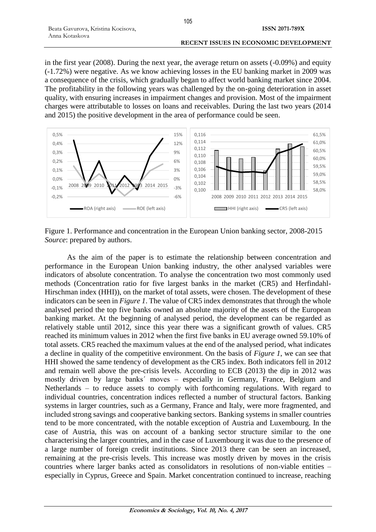in the first year (2008). During the next year, the average return on assets (-0.09%) and equity (-1.72%) were negative. As we know achieving losses in the EU banking market in 2009 was a consequence of the crisis, which gradually began to affect world banking market since 2004. The profitability in the following years was challenged by the on-going deterioration in asset quality, with ensuring increases in impairment changes and provision. Most of the impairment charges were attributable to losses on loans and receivables. During the last two years (2014 and 2015) the positive development in the area of performance could be seen.



Figure 1. Performance and concentration in the European Union banking sector, 2008-2015 *Source*: prepared by authors.

As the aim of the paper is to estimate the relationship between concentration and performance in the European Union banking industry, the other analysed variables were indicators of absolute concentration. To analyse the concentration two most commonly used methods (Concentration ratio for five largest banks in the market (CR5) and Herfindahl-Hirschman index (HHI)), on the market of total assets, were chosen. The development of these indicators can be seen in *Figure 1*. The value of CR5 index demonstrates that through the whole analysed period the top five banks owned an absolute majority of the assets of the European banking market. At the beginning of analysed period, the development can be regarded as relatively stable until 2012, since this year there was a significant growth of values. CR5 reached its minimum values in 2012 when the first five banks in EU average owned 59.10% of total assets. CR5 reached the maximum values at the end of the analysed period, what indicates a decline in quality of the competitive environment. On the basis of *Figure 1*, we can see that HHI showed the same tendency of development as the CR5 index. Both indicators fell in 2012 and remain well above the pre-crisis levels. According to ECB (2013) the dip in 2012 was mostly driven by large banks´ moves – especially in Germany, France, Belgium and Netherlands – to reduce assets to comply with forthcoming regulations. With regard to individual countries, concentration indices reflected a number of structural factors. Banking systems in larger countries, such as a Germany, France and Italy, were more fragmented, and included strong savings and cooperative banking sectors. Banking systems in smaller countries tend to be more concentrated, with the notable exception of Austria and Luxembourg. In the case of Austria, this was on account of a banking sector structure similar to the one characterising the larger countries, and in the case of Luxembourg it was due to the presence of a large number of foreign credit institutions. Since 2013 there can be seen an increased, remaining at the pre-crisis levels. This increase was mostly driven by moves in the crisis countries where larger banks acted as consolidators in resolutions of non-viable entities – especially in Cyprus, Greece and Spain. Market concentration continued to increase, reaching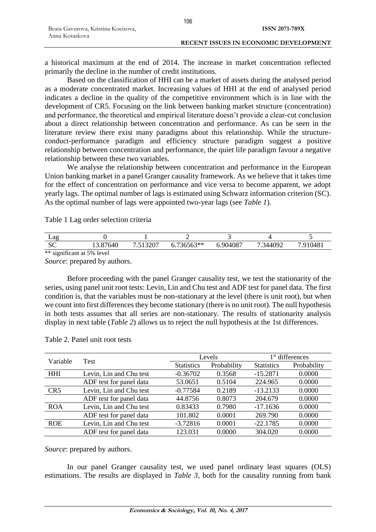a historical maximum at the end of 2014. The increase in market concentration reflected primarily the decline in the number of credit institutions.

Based on the classification of HHI can be a market of assets during the analysed period as a moderate concentrated market. Increasing values of HHI at the end of analysed period indicates a decline in the quality of the competitive environment which is in line with the development of CR5. Focusing on the link between banking market structure (concentration) and performance, the theoretical and empirical literature doesn't provide a clear-cut conclusion about a direct relationship between concentration and performance. As can be seen in the literature review there exist many paradigms about this relationship. While the structureconduct-performance paradigm and efficiency structure paradigm suggest a positive relationship between concentration and performance, the quiet life paradigm favour a negative relationship between these two variables.

We analyse the relationship between concentration and performance in the European Union banking market in a panel Granger causality framework. As we believe that it takes time for the effect of concentration on performance and vice versa to become apparent, we adopt yearly lags. The optimal number of lags is estimated using Schwarz information criterion (SC). As the optimal number of lags were appointed two-year lags (see *Table 1*).

Table 1 Lag order selection criteria

| Lag                                 |                |                   |          |         |             |             |
|-------------------------------------|----------------|-------------------|----------|---------|-------------|-------------|
| nη<br>υU                            | .87640<br>19.0 | 512207<br>$\cdot$ | 736563** | .904087 | 344092<br>- | 910481<br>− |
| ** significant at 5.<br>5%<br>level |                |                   |          |         |             |             |

*Source*: prepared by authors.

Before proceeding with the panel Granger causality test, we test the stationarity of the series, using panel unit root tests: Levin, Lin and Chu test and ADF test for panel data. The first condition is, that the variables must be non-stationary at the level (there is unit root), but when we count into first differences they become stationary (there is no unit root). The null hypothesis in both tests assumes that all series are non-stationary. The results of stationarity analysis display in next table (*Table 2*) allows us to reject the null hypothesis at the 1st differences.

| Variable        |                         | Levels            |             | 1 <sup>st</sup> differences |             |
|-----------------|-------------------------|-------------------|-------------|-----------------------------|-------------|
|                 | Test                    | <b>Statistics</b> | Probability | <b>Statistics</b>           | Probability |
| <b>HHI</b>      | Levin, Lin and Chu test | $-0.36702$        | 0.3568      | $-15.2871$                  | 0.0000      |
|                 | ADF test for panel data | 53.0651           | 0.5104      | 224.965                     | 0.0000      |
| CR <sub>5</sub> | Levin, Lin and Chu test | $-0.77584$        | 0.2189      | $-13.2133$                  | 0.0000      |
|                 | ADF test for panel data | 44.8756           | 0.8073      | 204.679                     | 0.0000      |
| <b>ROA</b>      | Levin, Lin and Chu test | 0.83433           | 0.7980      | $-17.1636$                  | 0.0000      |
|                 | ADF test for panel data | 101.802           | 0.0001      | 269.790                     | 0.0000      |
| <b>ROE</b>      | Levin, Lin and Chu test | $-3.72816$        | 0.0001      | $-22.1785$                  | 0.0000      |
|                 | ADF test for panel data | 123.031           | 0.0000      | 304.020                     | 0.0000      |

Table 2. Panel unit root tests

*Source*: prepared by authors.

In our panel Granger causality test, we used panel ordinary least squares (OLS) estimations. The results are displayed in *Table 3*, both for the causality running from bank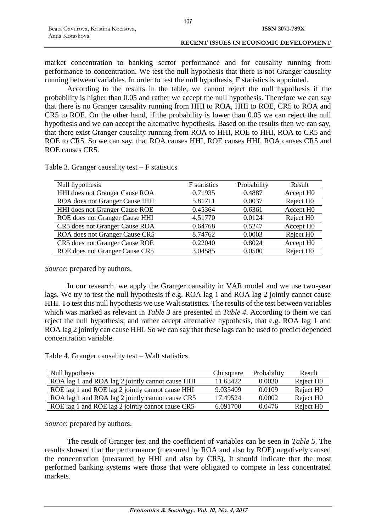market concentration to banking sector performance and for causality running from performance to concentration. We test the null hypothesis that there is not Granger causality running between variables. In order to test the null hypothesis, F statistics is appointed.

According to the results in the table, we cannot reject the null hypothesis if the probability is higher than 0.05 and rather we accept the null hypothesis. Therefore we can say that there is no Granger causality running from HHI to ROA, HHI to ROE, CR5 to ROA and CR5 to ROE. On the other hand, if the probability is lower than 0.05 we can reject the null hypothesis and we can accept the alternative hypothesis. Based on the results then we can say, that there exist Granger causality running from ROA to HHI, ROE to HHI, ROA to CR5 and ROE to CR5. So we can say, that ROA causes HHI, ROE causes HHI, ROA causes CR5 and ROE causes CR5.

Table 3. Granger causality test  $-$  F statistics

| Null hypothesis                | F statistics | Probability | Result                |
|--------------------------------|--------------|-------------|-----------------------|
| HHI does not Granger Cause ROA | 0.71935      | 0.4887      | Accept H <sub>0</sub> |
| ROA does not Granger Cause HHI | 5.81711      | 0.0037      | Reject H <sub>0</sub> |
| HHI does not Granger Cause ROE | 0.45364      | 0.6361      | Accept H <sub>0</sub> |
| ROE does not Granger Cause HHI | 4.51770      | 0.0124      | Reject H <sub>0</sub> |
| CR5 does not Granger Cause ROA | 0.64768      | 0.5247      | Accept H <sub>0</sub> |
| ROA does not Granger Cause CR5 | 8.74762      | 0.0003      | Reject H <sub>0</sub> |
| CR5 does not Granger Cause ROE | 0.22040      | 0.8024      | Accept H <sub>0</sub> |
| ROE does not Granger Cause CR5 | 3.04585      | 0.0500      | Reject H <sub>0</sub> |

*Source*: prepared by authors.

In our research, we apply the Granger causality in VAR model and we use two-year lags. We try to test the null hypothesis if e.g. ROA lag 1 and ROA lag 2 jointly cannot cause HHI. To test this null hypothesis we use Walt statistics. The results of the test between variables which was marked as relevant in *Table 3* are presented in *Table 4*. According to them we can reject the null hypothesis, and rather accept alternative hypothesis, that e.g. ROA lag 1 and ROA lag 2 jointly can cause HHI. So we can say that these lags can be used to predict depended concentration variable.

Table 4. Granger causality test – Walt statistics

| Null hypothesis                                  | Chi square | Probability | Result                |
|--------------------------------------------------|------------|-------------|-----------------------|
| ROA lag 1 and ROA lag 2 jointly cannot cause HHI | 11.63422   | 0.0030      | Reject H <sub>0</sub> |
| ROE lag 1 and ROE lag 2 jointly cannot cause HHI | 9.035409   | 0.0109      | Reject H <sub>0</sub> |
| ROA lag 1 and ROA lag 2 jointly cannot cause CR5 | 17.49524   | 0.0002      | Reject H <sub>0</sub> |
| ROE lag 1 and ROE lag 2 jointly cannot cause CR5 | 6.091700   | 0.0476      | Reject H <sub>0</sub> |

*Source*: prepared by authors.

The result of Granger test and the coefficient of variables can be seen in *Table 5*. The results showed that the performance (measured by ROA and also by ROE) negatively caused the concentration (measured by HHI and also by CR5). It should indicate that the most performed banking systems were those that were obligated to compete in less concentrated markets.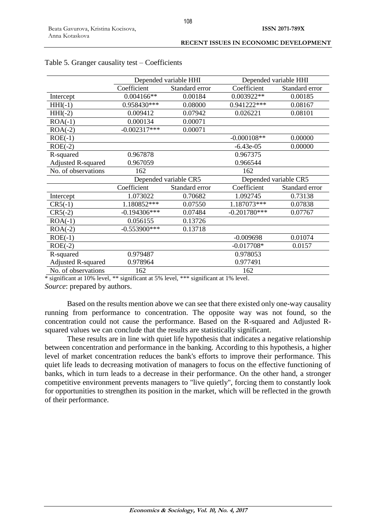|                       |                | Depended variable HHI |                |  |
|-----------------------|----------------|-----------------------|----------------|--|
|                       | Standard error | Coefficient           | Standard error |  |
| $0.004166**$          | 0.00184        | 0.003922**            | 0.00185        |  |
| 0.958430***           | 0.08000        | 0.941222***           | 0.08167        |  |
| 0.009412              | 0.07942        | 0.026221              | 0.08101        |  |
| 0.000134              | 0.00071        |                       |                |  |
| $-0.002317***$        | 0.00071        |                       |                |  |
|                       |                | $-0.000108**$         | 0.00000        |  |
|                       |                | $-6.43e-05$           | 0.00000        |  |
| 0.967878              |                | 0.967375              |                |  |
| 0.967059              |                | 0.966544              |                |  |
| 162                   |                | 162                   |                |  |
| Depended variable CR5 |                | Depended variable CR5 |                |  |
| Coefficient           | Standard error |                       | Standard error |  |
| 1.073022              | 0.70682        | 1.092745              | 0.73138        |  |
| 1.180852***           | 0.07550        | 1.187073***           | 0.07838        |  |
| $-0.194306***$        | 0.07484        | $-0.201780***$        | 0.07767        |  |
| 0.056155              | 0.13726        |                       |                |  |
| $-0.553900$ ***       | 0.13718        |                       |                |  |
|                       |                | $-0.009698$           | 0.01074        |  |
|                       |                | $-0.017708*$          | 0.0157         |  |
| 0.979487              |                | 0.978053              |                |  |
| 0.978964              |                | 0.977491              |                |  |
| 162                   |                | 162                   |                |  |
|                       | Coefficient    | Depended variable HHI | Coefficient    |  |

## Table 5. Granger causality test – Coefficients

\* significant at 10% level, \*\* significant at 5% level, \*\*\* significant at 1% level.

*Source*: prepared by authors.

Based on the results mention above we can see that there existed only one-way causality running from performance to concentration. The opposite way was not found, so the concentration could not cause the performance. Based on the R-squared and Adjusted Rsquared values we can conclude that the results are statistically significant.

These results are in line with quiet life hypothesis that indicates a negative relationship between concentration and performance in the banking. According to this hypothesis, a higher level of market concentration reduces the bank's efforts to improve their performance. This quiet life leads to decreasing motivation of managers to focus on the effective functioning of banks, which in turn leads to a decrease in their performance. On the other hand, a stronger competitive environment prevents managers to "live quietly", forcing them to constantly look for opportunities to strengthen its position in the market, which will be reflected in the growth of their performance.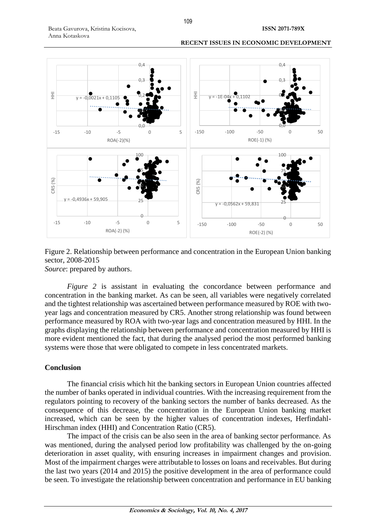



Figure 2. Relationship between performance and concentration in the European Union banking sector, 2008-2015 *Source*: prepared by authors.

*Figure 2* is assistant in evaluating the concordance between performance and concentration in the banking market. As can be seen, all variables were negatively correlated and the tightest relationship was ascertained between performance measured by ROE with twoyear lags and concentration measured by CR5. Another strong relationship was found between performance measured by ROA with two-year lags and concentration measured by HHI. In the graphs displaying the relationship between performance and concentration measured by HHI is more evident mentioned the fact, that during the analysed period the most performed banking systems were those that were obligated to compete in less concentrated markets.

## **Conclusion**

The financial crisis which hit the banking sectors in European Union countries affected the number of banks operated in individual countries. With the increasing requirement from the regulators pointing to recovery of the banking sectors the number of banks decreased. As the consequence of this decrease, the concentration in the European Union banking market increased, which can be seen by the higher values of concentration indexes, Herfindahl-Hirschman index (HHI) and Concentration Ratio (CR5).

The impact of the crisis can be also seen in the area of banking sector performance. As was mentioned, during the analysed period low profitability was challenged by the on-going deterioration in asset quality, with ensuring increases in impairment changes and provision. Most of the impairment charges were attributable to losses on loans and receivables. But during the last two years (2014 and 2015) the positive development in the area of performance could be seen. To investigate the relationship between concentration and performance in EU banking

109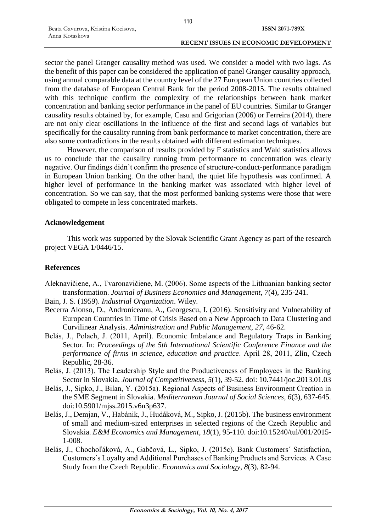sector the panel Granger causality method was used. We consider a model with two lags. As the benefit of this paper can be considered the application of panel Granger causality approach, using annual comparable data at the country level of the 27 European Union countries collected from the database of European Central Bank for the period 2008-2015. The results obtained with this technique confirm the complexity of the relationships between bank market concentration and banking sector performance in the panel of EU countries. Similar to Granger causality results obtained by, for example, Casu and Grigorian (2006) or Ferreira (2014), there are not only clear oscillations in the influence of the first and second lags of variables but specifically for the causality running from bank performance to market concentration, there are also some contradictions in the results obtained with different estimation techniques.

However, the comparison of results provided by F statistics and Wald statistics allows us to conclude that the causality running from performance to concentration was clearly negative. Our findings didn't confirm the presence of structure-conduct-performance paradigm in European Union banking. On the other hand, the quiet life hypothesis was confirmed. A higher level of performance in the banking market was associated with higher level of concentration. So we can say, that the most performed banking systems were those that were obligated to compete in less concentrated markets.

## **Acknowledgement**

This work was supported by the Slovak Scientific Grant Agency as part of the research project VEGA 1/0446/15.

# **References**

Aleknavičiene, A., Tvaronavičiene, M. (2006). Some aspects of the Lithuanian banking sector transformation. *Journal of Business Economics and Management*, *7*(4), 235-241.

Bain, J. S. (1959). *Industrial Organization*. Wiley.

- Becerra Alonso, D., Androniceanu, A., Georgescu, I. (2016). Sensitivity and Vulnerability of European Countries in Time of Crisis Based on a New Approach to Data Clustering and Curvilinear Analysis. *Administration and Public Management*, *27*, 46-62.
- Belás, J., Polach, J. (2011, April). Economic Imbalance and Regulatory Traps in Banking Sector. In: *Proceedings of the 5th International Scientific Conference Finance and the performance of firms in science, education and practice*. April 28, 2011, Zlín, Czech Republic, 28-36.
- Belás, J. (2013). The Leadership Style and the Productiveness of Employees in the Banking Sector in Slovakia. *Journal of Competitiveness*, *5*(1), 39-52. doi: 10.7441/joc.2013.01.03
- Belás, J., Sipko, J., Bilan, Y. (2015a). Regional Aspects of Business Environment Creation in the SME Segment in Slovakia. *Mediterranean Journal of Social Sciences*, *6*(3), 637-645. doi:10.5901/mjss.2015.v6n3p637.
- Belás, J., Demjan, V., Habánik, J., Hudáková, M., Sipko, J. (2015b). The business environment of small and medium-sized enterprises in selected regions of the Czech Republic and Slovakia. *E&M Economics and Management*, *18*(1), 95-110. doi:10.15240/tul/001/2015- 1-008.
- Belás, J., Chochoľáková, A., Gabčová, L., Sipko, J. (2015c). Bank Customers´ Satisfaction, Customers´s Loyalty and Additional Purchases of Banking Products and Services. A Case Study from the Czech Republic. *Economics and Sociology*, *8*(3), 82-94.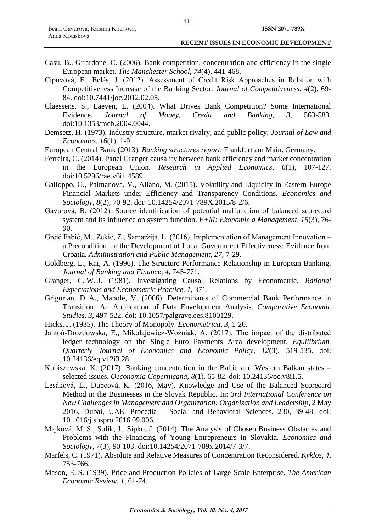- Casu, B., Girardone, C. (2006). Bank competition, concentration and efficiency in the single European market. *The Manchester School*, *74*(4), 441-468.
- Cipovová, E., Belás, J. (2012). Assessment of Credit Risk Approaches in Relation with Competitiveness Increase of the Banking Sector. *Journal of Competitiveness*, *4*(2), 69- 84. doi:10.7441/joc.2012.02.05.
- Claessens, S., Laeven, L. (2004). What Drives Bank Competition? Some International Evidence. *Journal of Money, Credit and Banking*, *3*, 563-583. doi:10.1353/mcb.2004.0044.
- Demsetz, H. (1973). Industry structure, market rivalry, and public policy. *Journal of Law and Economics*, *16*(1), 1-9.
- European Central Bank (2013). *Banking structures report*. Frankfurt am Main. Germany.
- Ferreira, C. (2014). Panel Granger causality between bank efficiency and market concentration in the European Union. *Research in Applied Economics*, *6*(1), 107-127. doi:10.5296/rae.v6i1.4589.
- Galloppo, G., Paimanova, V., Aliano, M. (2015). Volatility and Liquidity in Eastern Europe Financial Markets under Efficiency and Transparency Conditions. *Economics and Sociology*, *8*(2), 70-92. doi: 10.14254/2071-789X.2015/8-2/6.
- Gavurová, B. (2012). Source identification of potential malfunction of balanced scorecard system and its influence on system function. *E+M: Ekonomie a Management*, *15*(3), 76- 90.
- Grčić Fabić, M., Zekić, Z., Samaržija, L. (2016). Implementation of Management Innovation a Precondition for the Development of Local Government Effectiveness: Evidence from Croatia. *Administration and Public Management*, *27*, 7-29.
- Goldberg, L., Rai, A. (1996). The Structure-Performance Relationship in European Banking. *Journal of Banking and Finance*, *4*, 745-771.
- Granger, C. W. J. (1981). Investigating Causal Relations by Econometric. *Rational Expectations and Econometric Practice*, *1*, 371.
- Grigorian, D. A., Manole, V. (2006). Determinants of Commercial Bank Performance in Transition: An Application of Data Envelopment Analysis. *Comparative Economic Studies*, *3*, 497-522. doi: 10.1057/palgrave.ces.8100129.
- Hicks, J. (1935). The Theory of Monopoly. *Econometrica*, *3*, 1-20.
- Jantoń-Drozdowska, E., Mikołajewicz-Woźniak, A. (2017). The impact of the distributed ledger technology on the Single Euro Payments Area development. *Equilibrium. Quarterly Journal of Economics and Economic Policy*, *12*(3), 519-535. doi: 10.24136/eq.v12i3.28.
- Kubiszewska, K. (2017). Banking concentration in the Baltic and Western Balkan states selected issues. *Oeconomia Copernicana*, *8*(1), 65-82. doi: 10.24136/oc.v8i1.5.
- Lesáková, Ľ., Dubcová, K. (2016, May). Knowledge and Use of the Balanced Scorecard Method in the Businesses in the Slovak Republic. In: *3rd International Conference on New Challenges in Management and Organization: Organization and Leadership*, 2 May 2016, Dubai, UAE. Procedia – Social and Behavioral Sciences, 230, 39-48. doi: 10.1016/j.sbspro.2016.09.006.
- Majková, M. S., Solík, J., Sipko, J. (2014). The Analysis of Chosen Business Obstacles and Problems with the Financing of Young Entrepreneurs in Slovakia. *Economics and Sociology*, *7*(3), 90-103. doi:10.14254/2071-789x.2014/7-3/7.
- Marfels, C. (1971). Absolute and Relative Measures of Concentration Reconsidered. *Kyklos*, *4*, 753-766.
- Mason, E. S. (1939). Price and Production Policies of Large-Scale Enterprise. *The American Economic Review*, *1*, 61-74.